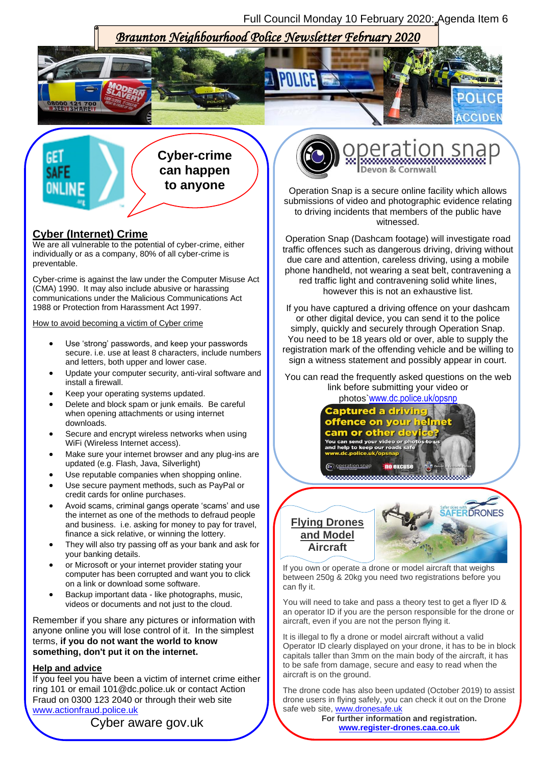Full Council Monday 10 February 2020: Agenda Item 6

# *Braunton Neighbourhood Police Newsletter February 2020*



**Cyber-crime can happen to anyone**

## **Cyber (Internet) Crime**

 $\overline{\phantom{a}}$ 

We are all vulnerable to the potential of cyber-crime, either individually or as a company, 80% of all cyber-crime is preventable.

Cyber-crime is against the law under the Computer Misuse Act (CMA) 1990. It may also include abusive or harassing communications under the Malicious Communications Act 1988 or Protection from Harassment Act 1997.

How to avoid becoming a victim of Cyber crime

- Use 'strong' passwords, and keep your passwords secure. i.e. use at least 8 characters, include numbers and letters, both upper and lower case.
- Update your computer security, anti-viral software and install a firewall.
- Keep your operating systems updated.
- Delete and block spam or junk emails. Be careful when opening attachments or using internet downloads.
- Secure and encrypt wireless networks when using WiFi (Wireless Internet access).
- Make sure your internet browser and any plug-ins are updated (e.g. Flash, Java, Silverlight)
- Use reputable companies when shopping online.
- Use secure payment methods, such as PayPal or credit cards for online purchases.
- Avoid scams, criminal gangs operate 'scams' and use the internet as one of the methods to defraud people and business. i.e. asking for money to pay for travel, finance a sick relative, or winning the lottery.
- They will also try passing off as your bank and ask for your banking details.
- or Microsoft or your internet provider stating your computer has been corrupted and want you to click on a link or download some software.
- Backup important data like photographs, music, videos or documents and not just to the cloud.

Remember if you share any pictures or information with anyone online you will lose control of it. In the simplest terms, **if you do not want the world to know something, don't put it on the internet.**

#### **Help and advice**

If you feel you have been a victim of internet crime either ring 101 or email 101@dc.police.uk or contact Action Fraud on 0300 123 2040 or through their web site [www.actionfraud.police.uk](http://www.actionfraud.police.uk/)





eration s

Operation Snap is a secure online facility which allows submissions of video and photographic evidence relating to driving incidents that members of the public have witnessed.

Operation Snap (Dashcam footage) will investigate road traffic offences such as dangerous driving, driving without due care and attention, careless driving, using a mobile phone handheld, not wearing a seat belt, contravening a red traffic light and contravening solid white lines, however this is not an exhaustive list.

If you have captured a driving offence on your dashcam or other digital device, you can send it to the police simply, quickly and securely through Operation Snap. You need to be 18 years old or over, able to supply the registration mark of the offending vehicle and be willing to sign a witness statement and possibly appear in court.

You can read the frequently asked questions on the web link before submitting your video or

photos`[www.dc.police.uk/opsnp](http://www.dc.police.uk/opsnp)



**Flying Drones and Model Aircraft**



Í If you own or operate a drone or model aircraft that weighs between 250g & 20kg you need two registrations before you can fly it.

You will need to take and pass a theory test to get a flyer ID & an operator ID if you are the person responsible for the drone or aircraft, even if you are not the person flying it.

It is illegal to fly a drone or model aircraft without a valid Operator ID clearly displayed on your drone, it has to be in block capitals taller than 3mm on the main body of the aircraft, it has to be safe from damage, secure and easy to read when the aircraft is on the ground.

The drone code has also been updated (October 2019) to assist drone users in flying safely, you can check it out on the Drone safe web site, [www.dronesafe.uk](http://www.dronesafe.uk/)

> **For further information and registration. [www.register-drones.caa.co.uk](http://www.register-drones.caa.co.uk/)**